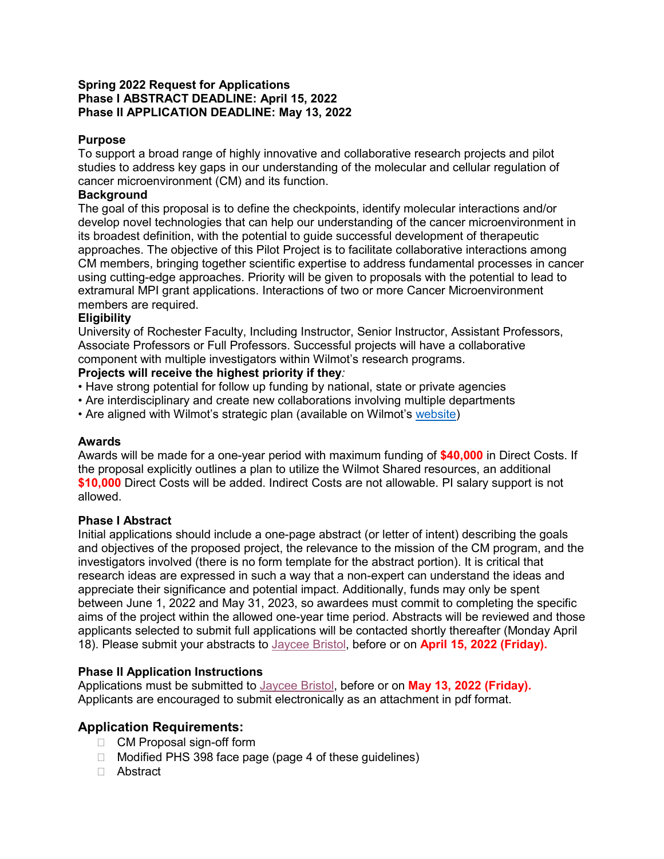#### **Spring 2022 Request for Applications Phase I ABSTRACT DEADLINE: April 15, 2022 Phase II APPLICATION DEADLINE: May 13, 2022**

## **Purpose**

To support a broad range of highly innovative and collaborative research projects and pilot studies to address key gaps in our understanding of the molecular and cellular regulation of cancer microenvironment (CM) and its function.

### **Background**

The goal of this proposal is to define the checkpoints, identify molecular interactions and/or develop novel technologies that can help our understanding of the cancer microenvironment in its broadest definition, with the potential to guide successful development of therapeutic approaches. The objective of this Pilot Project is to facilitate collaborative interactions among CM members, bringing together scientific expertise to address fundamental processes in cancer using cutting-edge approaches. Priority will be given to proposals with the potential to lead to extramural MPI grant applications. Interactions of two or more Cancer Microenvironment members are required.

#### **Eligibility**

University of Rochester Faculty, Including Instructor, Senior Instructor, Assistant Professors, Associate Professors or Full Professors. Successful projects will have a collaborative component with multiple investigators within Wilmot's research programs.

## **Projects will receive the highest priority if they***:*

- Have strong potential for follow up funding by national, state or private agencies
- Are interdisciplinary and create new collaborations involving multiple departments
- Are aligned with Wilmot's strategic plan (available on Wilmot's [website\)](https://sites.urmc.rochester.edu/departments/wilmot-cancer-institute/wilmot-strategic-plan/210225_wci_strategic_plan/)

#### **Awards**

Awards will be made for a one-year period with maximum funding of **\$40,000** in Direct Costs. If the proposal explicitly outlines a plan to utilize the Wilmot Shared resources, an additional **\$10,000** Direct Costs will be added. Indirect Costs are not allowable. PI salary support is not allowed.

#### **Phase I Abstract**

Initial applications should include a one-page abstract (or letter of intent) describing the goals and objectives of the proposed project, the relevance to the mission of the CM program, and the investigators involved (there is no form template for the abstract portion). It is critical that research ideas are expressed in such a way that a non-expert can understand the ideas and appreciate their significance and potential impact. Additionally, funds may only be spent between June 1, 2022 and May 31, 2023, so awardees must commit to completing the specific aims of the project within the allowed one-year time period. Abstracts will be reviewed and those applicants selected to submit full applications will be contacted shortly thereafter (Monday April 18). Please submit your abstracts to [Jaycee Bristol,](mailto:jaycee_bristol@urmc.rochester.edu?subject=CM%20program%20pilot%20-%20initial%20abstract) before or on **April 15, 2022 (Friday).**

# **Phase II Application Instructions**

Applications must be submitted to [Jaycee Bristol,](mailto:jaycee_bristol@urmc.rochester.edu?subject=CM%20program%20pilot%20-%20phase%20II%20application) before or on **May 13, 2022 (Friday).**  Applicants are encouraged to submit electronically as an attachment in pdf format.

# **Application Requirements:**

- □ CM Proposal sign-off form
- □ Modified PHS 398 face page (page 4 of these guidelines)
- Abstract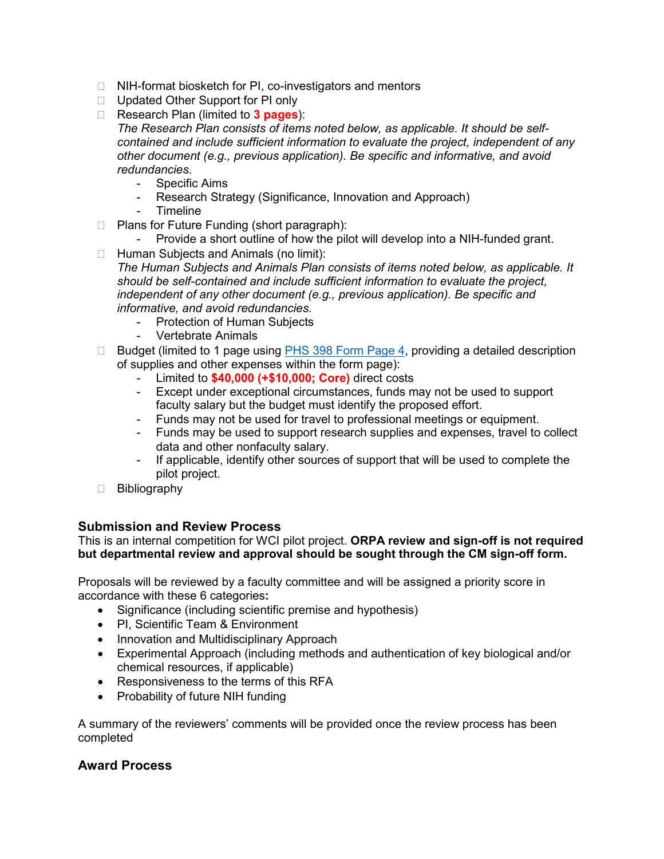- □ NIH-format biosketch for PI, co-investigators and mentors
- □ Updated Other Support for PI only
- Research Plan (limited to **3 pages**):

*The Research Plan consists of items noted below, as applicable. It should be selfcontained and include sufficient information to evaluate the project, independent of any other document (e.g., previous application). Be specific and informative, and avoid redundancies.*

- Specific Aims
- Research Strategy (Significance, Innovation and Approach)
- Timeline
- □ Plans for Future Funding (short paragraph):
	- Provide a short outline of how the pilot will develop into a NIH-funded grant.
- $\Box$  Human Subjects and Animals (no limit):

*The Human Subjects and Animals Plan consists of items noted below, as applicable. It should be self-contained and include sufficient information to evaluate the project, independent of any other document (e.g., previous application). Be specific and informative, and avoid redundancies.*

- Protection of Human Subjects
- Vertebrate Animals
- $\Box$  Budget (limited to 1 page using  $PHS$  398 Form Page 4, providing a detailed description of supplies and other expenses within the form page):
	- Limited to **\$40,000 (+\$10,000; Core)** direct costs
	- Except under exceptional circumstances, funds may not be used to support faculty salary but the budget must identify the proposed effort.
	- Funds may not be used for travel to professional meetings or equipment.
	- Funds may be used to support research supplies and expenses, travel to collect data and other nonfaculty salary.
	- If applicable, identify other sources of support that will be used to complete the pilot project.
- Bibliography

#### **Submission and Review Process**

This is an internal competition for WCI pilot project. **ORPA review and sign-off is not required but departmental review and approval should be sought through the CM sign-off form.**

Proposals will be reviewed by a faculty committee and will be assigned a priority score in accordance with these 6 categories**:**

- Significance (including scientific premise and hypothesis)
- PI, Scientific Team & Environment
- Innovation and Multidisciplinary Approach
- Experimental Approach (including methods and authentication of key biological and/or chemical resources, if applicable)
- Responsiveness to the terms of this RFA
- Probability of future NIH funding

A summary of the reviewers' comments will be provided once the review process has been completed

#### **Award Process**